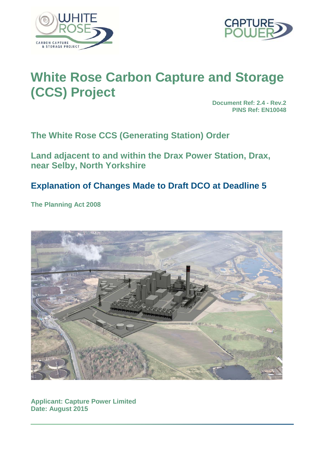



# **White Rose Carbon Capture and Storage (CCS) Project**

**Document Ref: 2.4 - Rev.2 PINS Ref: EN10048**

**The White Rose CCS (Generating Station) Order**

**Land adjacent to and within the Drax Power Station, Drax, near Selby, North Yorkshire**

# **Explanation of Changes Made to Draft DCO at Deadline 5**

**The Planning Act 2008**



**Applicant: Capture Power Limited Date: August 2015**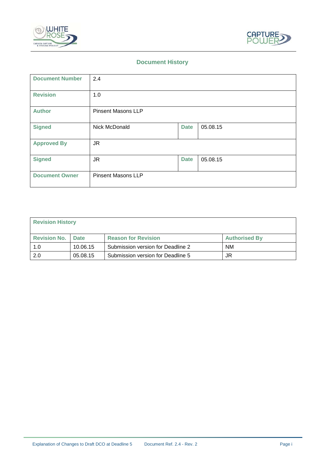



#### **Document History**

| <b>Document Number</b> | 2.4                       |             |          |
|------------------------|---------------------------|-------------|----------|
| <b>Revision</b>        | 1.0                       |             |          |
| <b>Author</b>          | <b>Pinsent Masons LLP</b> |             |          |
| <b>Signed</b>          | Nick McDonald             | <b>Date</b> | 05.08.15 |
| <b>Approved By</b>     | <b>JR</b>                 |             |          |
| <b>Signed</b>          | JR.                       | <b>Date</b> | 05.08.15 |
| <b>Document Owner</b>  | <b>Pinsent Masons LLP</b> |             |          |

| <b>Revision History</b> |             |                                   |                      |
|-------------------------|-------------|-----------------------------------|----------------------|
| <b>Revision No.</b>     | <b>Date</b> | <b>Reason for Revision</b>        | <b>Authorised By</b> |
| 1.0                     | 10.06.15    | Submission version for Deadline 2 | <b>NM</b>            |
| 2.0                     | 05.08.15    | Submission version for Deadline 5 | JR                   |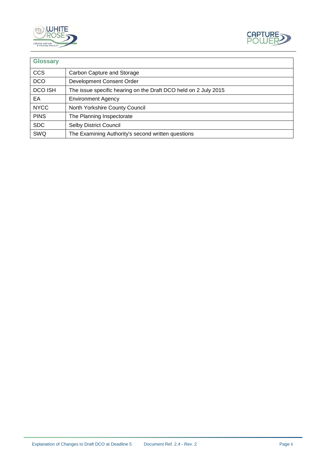



| <b>Glossary</b> |                                                                 |
|-----------------|-----------------------------------------------------------------|
| <b>CCS</b>      | Carbon Capture and Storage                                      |
| <b>DCO</b>      | Development Consent Order                                       |
| <b>DCO ISH</b>  | The issue specific hearing on the Draft DCO held on 2 July 2015 |
| EA              | <b>Environment Agency</b>                                       |
| <b>NYCC</b>     | North Yorkshire County Council                                  |
| <b>PINS</b>     | The Planning Inspectorate                                       |
| <b>SDC</b>      | <b>Selby District Council</b>                                   |
| SWQ             | The Examining Authority's second written questions              |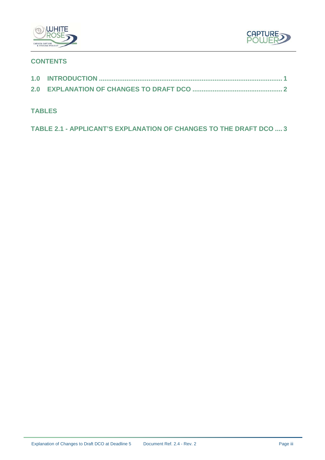



## **CONTENTS**

### **TABLES**

**TABLE 2.1 - [APPLICANT'S EXPLANATION OF CHANGES TO THE DRAFT DCO](#page-6-0) .... 3**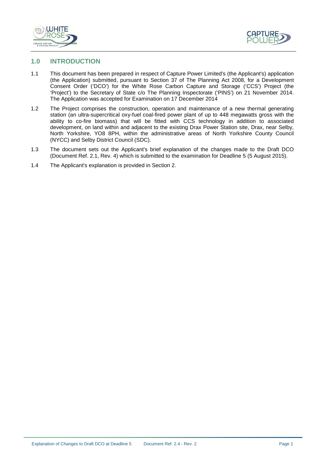



#### <span id="page-4-0"></span>**1.0 INTRODUCTION**

- 1.1 This document has been prepared in respect of Capture Power Limited's (the Applicant's) application (the Application) submitted, pursuant to Section 37 of The Planning Act 2008, for a Development Consent Order ('DCO') for the White Rose Carbon Capture and Storage ('CCS') Project (the 'Project') to the Secretary of State c/o The Planning Inspectorate ('PINS') on 21 November 2014. The Application was accepted for Examination on 17 December 2014
- 1.2 The Project comprises the construction, operation and maintenance of a new thermal generating station (an ultra-supercritical oxy-fuel coal-fired power plant of up to 448 megawatts gross with the ability to co-fire biomass) that will be fitted with CCS technology in addition to associated development, on land within and adjacent to the existing Drax Power Station site, Drax, near Selby, North Yorkshire, YO8 8PH, within the administrative areas of North Yorkshire County Council (NYCC) and Selby District Council (SDC).
- 1.3 The document sets out the Applicant's brief explanation of the changes made to the Draft DCO (Document Ref. 2.1, Rev. 4) which is submitted to the examination for Deadline 5 (5 August 2015).
- 1.4 The Applicant's explanation is provided in Section 2.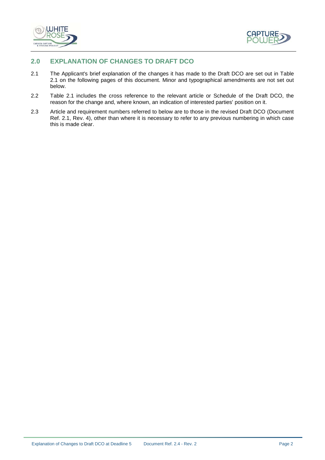



#### <span id="page-5-0"></span>**2.0 EXPLANATION OF CHANGES TO DRAFT DCO**

- 2.1 The Applicant's brief explanation of the changes it has made to the Draft DCO are set out in Table 2.1 on the following pages of this document. Minor and typographical amendments are not set out below.
- 2.2 Table 2.1 includes the cross reference to the relevant article or Schedule of the Draft DCO, the reason for the change and, where known, an indication of interested parties' position on it.
- 2.3 Article and requirement numbers referred to below are to those in the revised Draft DCO (Document Ref. 2.1, Rev. 4), other than where it is necessary to refer to any previous numbering in which case this is made clear.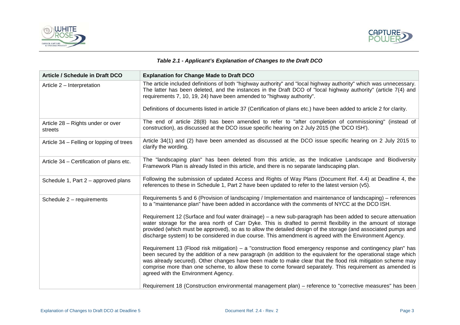



#### *Table 2.1 - Applicant's Explanation of Changes to the Draft DCO*

<span id="page-6-0"></span>

| <b>Article / Schedule in Draft DCO</b>       | <b>Explanation for Change Made to Draft DCO</b>                                                                                                                                                                                                                                                                                                                                                                                                                                                |
|----------------------------------------------|------------------------------------------------------------------------------------------------------------------------------------------------------------------------------------------------------------------------------------------------------------------------------------------------------------------------------------------------------------------------------------------------------------------------------------------------------------------------------------------------|
| Article 2 - Interpretation                   | The article included definitions of both "highway authority" and "local highway authority" which was unnecessary.<br>The latter has been deleted, and the instances in the Draft DCO of "local highway authority" (article 7(4) and<br>requirements 7, 10, 19, 24) have been amended to "highway authority".                                                                                                                                                                                   |
|                                              | Definitions of documents listed in article 37 (Certification of plans etc.) have been added to article 2 for clarity.                                                                                                                                                                                                                                                                                                                                                                          |
| Article 28 - Rights under or over<br>streets | The end of article 28(8) has been amended to refer to "after completion of commissioning" (instead of<br>construction), as discussed at the DCO issue specific hearing on 2 July 2015 (the 'DCO ISH').                                                                                                                                                                                                                                                                                         |
| Article 34 – Felling or lopping of trees     | Article 34(1) and (2) have been amended as discussed at the DCO issue specific hearing on 2 July 2015 to<br>clarify the wording.                                                                                                                                                                                                                                                                                                                                                               |
| Article 34 - Certification of plans etc.     | The "landscaping plan" has been deleted from this article, as the Indicative Landscape and Biodiversity<br>Framework Plan is already listed in this article, and there is no separate landscaping plan.                                                                                                                                                                                                                                                                                        |
| Schedule 1, Part $2$ – approved plans        | Following the submission of updated Access and Rights of Way Plans (Document Ref. 4.4) at Deadline 4, the<br>references to these in Schedule 1, Part 2 have been updated to refer to the latest version (v5).                                                                                                                                                                                                                                                                                  |
| Schedule $2$ – requirements                  | Requirements 5 and 6 (Provision of landscaping / Implementation and maintenance of landscaping) – references<br>to a "maintenance plan" have been added in accordance with the comments of NYCC at the DCO ISH.                                                                                                                                                                                                                                                                                |
|                                              | Requirement 12 (Surface and foul water drainage) – a new sub-paragraph has been added to secure attenuation<br>water storage for the area north of Carr Dyke. This is drafted to permit flexibility in the amount of storage<br>provided (which must be approved), so as to allow the detailed design of the storage (and associated pumps and<br>discharge system) to be considered in due course. This amendment is agreed with the Environment Agency.                                      |
|                                              | Requirement 13 (Flood risk mitigation) – a "construction flood emergency response and contingency plan" has<br>been secured by the addition of a new paragraph (in addition to the equivalent for the operational stage which<br>was already secured). Other changes have been made to make clear that the flood risk mitigation scheme may<br>comprise more than one scheme, to allow these to come forward separately. This requirement as amended is<br>agreed with the Environment Agency. |
|                                              | Requirement 18 (Construction environmental management plan) – reference to "corrective measures" has been                                                                                                                                                                                                                                                                                                                                                                                      |